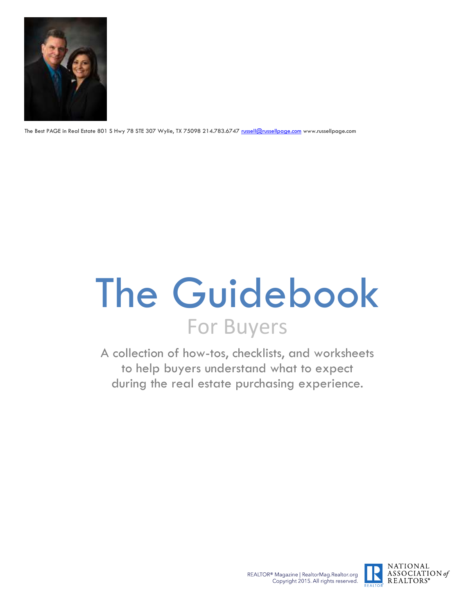

The Best PAGE in Real Estate 801 S Hwy 78 STE 307 Wylie, TX 75098 214.783.6747 [russell@russellpage.com](mailto:russell@russellpage.com) www.russellpage.com

# The Guidebook For Buyers

A collection of how-tos, checklists, and worksheets to help buyers understand what to expect during the real estate purchasing experience.

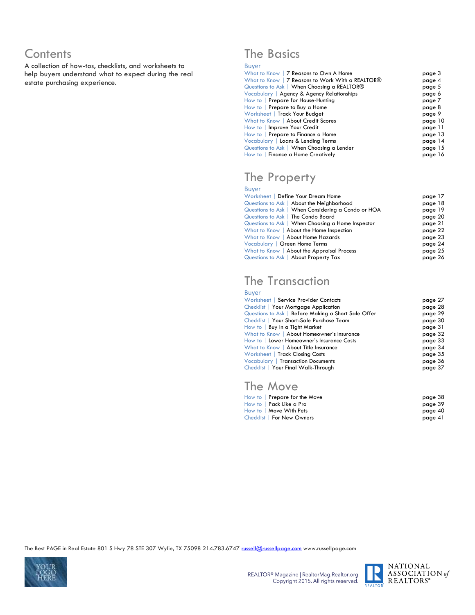### **Contents**

A collection of how-tos, checklists, and worksheets to help buyers understand what to expect during the real estate purchasing experience.

### The Basics

#### Buyer

| What to Know   7 Reasons to Own A Home           | page 3  |
|--------------------------------------------------|---------|
| What to Know   7 Reasons to Work With a REALTOR® | page 4  |
| Questions to Ask   When Choosing a REALTOR®      | page 5  |
| Vocabulary   Agency & Agency Relationships       | page 6  |
| How to   Prepare for House-Hunting               | page 7  |
| How to Prepare to Buy a Home                     | page 8  |
| Worksheet   Track Your Budget                    | page 9  |
| What to Know   About Credit Scores               | page 10 |
| How to   Improve Your Credit                     | page 11 |
| How to Prepare to Finance a Home                 | page 13 |
| Vocabulary   Loans & Lending Terms               | page 14 |
| Questions to Ask   When Choosing a Lender        | page 15 |
| How to   Finance a Home Creatively               | page 16 |

### The Property

#### Buyer

| Worksheet   Define Your Dream Home                 | page 17 |
|----------------------------------------------------|---------|
| Questions to Ask   About the Neighborhood          | page 18 |
| Questions to Ask   When Considering a Condo or HOA | page 19 |
| Questions to Ask   The Condo Board                 | page 20 |
| Questions to Ask   When Choosing a Home Inspector  | page 21 |
| What to Know   About the Home Inspection           | page 22 |
| What to Know   About Home Hazards                  | page 23 |
| Vocabulary   Green Home Terms                      | page 24 |
| What to Know   About the Appraisal Process         | page 25 |
| Questions to Ask   About Property Tax              | page 26 |
|                                                    |         |

### The Transaction

#### Buyer

| Worksheet   Service Provider Contacts               | page 27 |
|-----------------------------------------------------|---------|
| Checklist   Your Mortgage Application               | page 28 |
| Questions to Ask   Before Making a Short Sale Offer | page 29 |
| Checklist   Your Short-Sale Purchase Team           | page 30 |
| How to   Buy In a Tight Market                      | page 31 |
| What to Know   About Homeowner's Insurance          | page 32 |
| How to   Lower Homeowner's Insurance Costs          | page 33 |
| What to Know   About Title Insurance                | page 34 |
| Worksheet   Track Closing Costs                     | page 35 |
| <b>Vocabulary   Transaction Documents</b>           | page 36 |
| Checklist   Your Final Walk-Through                 | page 37 |

### The Move

| How to   Prepare for the Move | page 38 |
|-------------------------------|---------|
| How to I Pack Like a Pro      | page 39 |
| How to Move With Pets         | page 40 |
| Checklist   For New Owners    | page 41 |



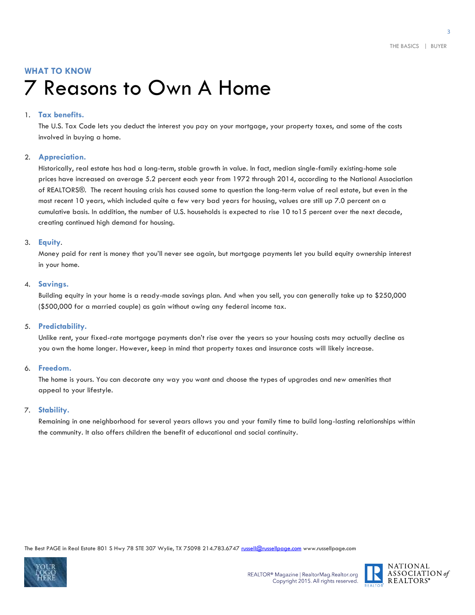### **WHAT TO KNOW** 7 Reasons to Own A Home

#### 1. **Tax benefits.**

The U.S. Tax Code lets you deduct the interest you pay on your mortgage, your property taxes, and some of the costs involved in buying a home.

#### 2. **Appreciation.**

Historically, real estate has had a long-term, stable growth in value. In fact, median single-family existing-home sale prices have increased on average 5.2 percent each year from 1972 through 2014, according to the National Association of REALTORS®. The recent housing crisis has caused some to question the long-term value of real estate, but even in the most recent 10 years, which included quite a few very bad years for housing, values are still up 7.0 percent on a cumulative basis. In addition, the number of U.S. households is expected to rise 10 to15 percent over the next decade, creating continued high demand for housing.

#### 3. **Equity**.

Money paid for rent is money that you'll never see again, but mortgage payments let you build equity ownership interest in your home.

#### 4. **Savings.**

Building equity in your home is a ready-made savings plan. And when you sell, you can generally take up to \$250,000 (\$500,000 for a married couple) as gain without owing any federal income tax.

#### 5. **Predictability.**

Unlike rent, your fixed-rate mortgage payments don't rise over the years so your housing costs may actually decline as you own the home longer. However, keep in mind that property taxes and insurance costs will likely increase.

#### 6. **Freedom.**

The home is yours. You can decorate any way you want and choose the types of upgrades and new amenities that appeal to your lifestyle.

#### 7. **Stability.**

Remaining in one neighborhood for several years allows you and your family time to build long-lasting relationships within the community. It also offers children the benefit of educational and social continuity.



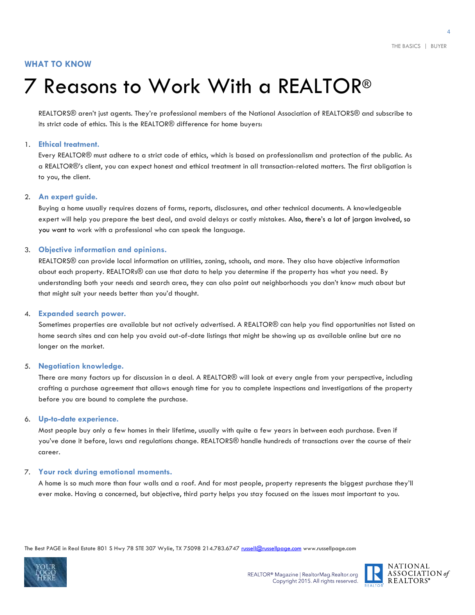#### **WHAT TO KNOW**

# 7 Reasons to Work With a REALTOR®

REALTORS® aren't just agents. They're professional members of the National Association of REALTORS® and subscribe to its strict code of ethics. This is the REALTOR® difference for home buyers:

#### 1. **Ethical treatment.**

Every REALTOR® must adhere to a strict code of ethics, which is based on professionalism and protection of the public. As a REALTOR®'s client, you can expect honest and ethical treatment in all transaction-related matters. The first obligation is to you, the client.

#### 2. **An expert guide.**

Buying a home usually requires dozens of forms, reports, disclosures, and other technical documents. A knowledgeable expert will help you prepare the best deal, and avoid delays or costly mistakes. Also, there's a lot of jargon involved, so you want to work with a professional who can speak the language.

#### 3. **Objective information and opinions.**

REALTORS® can provide local information on utilities, zoning, schools, and more. They also have objective information about each property. REALTORs® can use that data to help you determine if the property has what you need. By understanding both your needs and search area, they can also point out neighborhoods you don't know much about but that might suit your needs better than you'd thought.

#### 4. **Expanded search power.**

Sometimes properties are available but not actively advertised. A REALTOR® can help you find opportunities not listed on home search sites and can help you avoid out-of-date listings that might be showing up as available online but are no longer on the market.

#### 5. **Negotiation knowledge.**

There are many factors up for discussion in a deal. A REALTOR® will look at every angle from your perspective, including crafting a purchase agreement that allows enough time for you to complete inspections and investigations of the property before you are bound to complete the purchase.

#### 6. **Up-to-date experience.**

Most people buy only a few homes in their lifetime, usually with quite a few years in between each purchase. Even if you've done it before, laws and regulations change. REALTORS® handle hundreds of transactions over the course of their career.

#### 7. **Your rock during emotional moments.**

A home is so much more than four walls and a roof. And for most people, property represents the biggest purchase they'll ever make. Having a concerned, but objective, third party helps you stay focused on the issues most important to you.



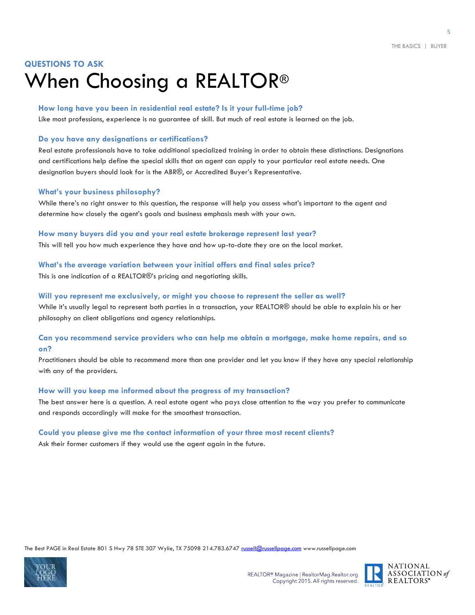### **QUESTIONS TO ASK** When Choosing a REALTOR®

#### **How long have you been in residential real estate? Is it your full-time job?**

Like most professions, experience is no guarantee of skill. But much of real estate is learned on the job.

#### **Do you have any designations or certifications?**

Real estate professionals have to take additional specialized training in order to obtain these distinctions. Designations and certifications help define the special skills that an agent can apply to your particular real estate needs. One designation buyers should look for is the ABR®, or Accredited Buyer's Representative.

#### **What's your business philosophy?**

While there's no right answer to this question, the response will help you assess what's important to the agent and determine how closely the agent's goals and business emphasis mesh with your own.

#### **How many buyers did you and your real estate brokerage represent last year?**

This will tell you how much experience they have and how up-to-date they are on the local market.

#### **What's the average variation between your initial offers and final sales price?**

This is one indication of a REALTOR®'s pricing and negotiating skills.

#### **Will you represent me exclusively, or might you choose to represent the seller as well?**

While it's usually legal to represent both parties in a transaction, your REALTOR® should be able to explain his or her philosophy on client obligations and agency relationships.

#### **Can you recommend service providers who can help me obtain a mortgage, make home repairs, and so on?**

Practitioners should be able to recommend more than one provider and let you know if they have any special relationship with any of the providers.

#### **How will you keep me informed about the progress of my transaction?**

The best answer here is a question. A real estate agent who pays close attention to the way you prefer to communicate and responds accordingly will make for the smoothest transaction.

#### **Could you please give me the contact information of your three most recent clients?**

Ask their former customers if they would use the agent again in the future.



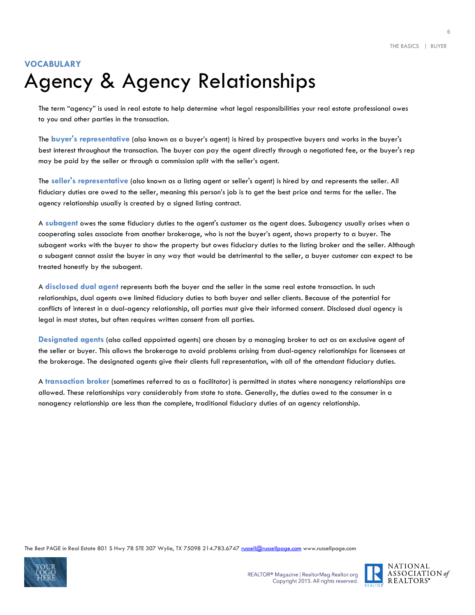### **VOCABULARY** Agency & Agency Relationships

The term "agency" is used in real estate to help determine what legal responsibilities your real estate professional owes to you and other parties in the transaction.

The **buyer's representative** (also known as a buyer's agent) is hired by prospective buyers and works in the buyer's best interest throughout the transaction. The buyer can pay the agent directly through a negotiated fee, or the buyer's rep may be paid by the seller or through a commission split with the seller's agent.

The **seller's representative** (also known as a listing agent or seller's agent) is hired by and represents the seller. All fiduciary duties are owed to the seller, meaning this person's job is to get the best price and terms for the seller. The agency relationship usually is created by a signed listing contract.

A **subagent** owes the same fiduciary duties to the agent's customer as the agent does. Subagency usually arises when a cooperating sales associate from another brokerage, who is not the buyer's agent, shows property to a buyer. The subagent works with the buyer to show the property but owes fiduciary duties to the listing broker and the seller. Although a subagent cannot assist the buyer in any way that would be detrimental to the seller, a buyer customer can expect to be treated honestly by the subagent.

A **disclosed dual agent** represents both the buyer and the seller in the same real estate transaction. In such relationships, dual agents owe limited fiduciary duties to both buyer and seller clients. Because of the potential for conflicts of interest in a dual-agency relationship, all parties must give their informed consent. Disclosed dual agency is legal in most states, but often requires written consent from all parties.

**Designated agents** (also called appointed agents) are chosen by a managing broker to act as an exclusive agent of the seller or buyer. This allows the brokerage to avoid problems arising from dual-agency relationships for licensees at the brokerage. The designated agents give their clients full representation, with all of the attendant fiduciary duties.

A **transaction broker** (sometimes referred to as a facilitator) is permitted in states where nonagency relationships are allowed. These relationships vary considerably from state to state. Generally, the duties owed to the consumer in a nonagency relationship are less than the complete, traditional fiduciary duties of an agency relationship.





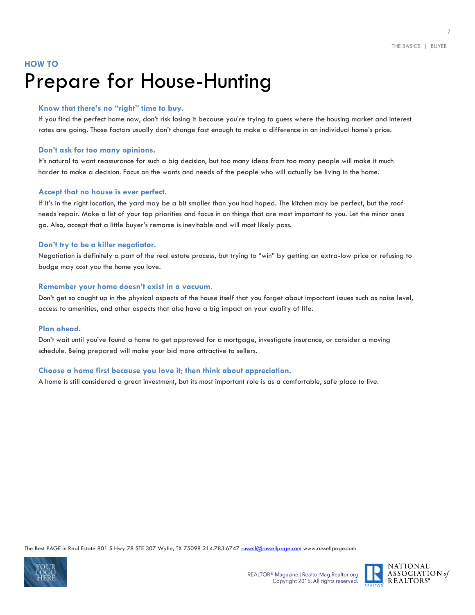### **HOW TO** Prepare for House-Hunting

#### **Know that there's no "right" time to buy.**

If you find the perfect home now, don't risk losing it because you're trying to guess where the housing market and interest rates are going. Those factors usually don't change fast enough to make a difference in an individual home's price.

#### **Don't ask for too many opinions.**

It's natural to want reassurance for such a big decision, but too many ideas from too many people will make it much harder to make a decision. Focus on the wants and needs of the people who will actually be living in the home.

#### **Accept that no house is ever perfect.**

If it's in the right location, the yard may be a bit smaller than you had hoped. The kitchen may be perfect, but the roof needs repair. Make a list of your top priorities and focus in on things that are most important to you. Let the minor ones go. Also, accept that a little buyer's remorse is inevitable and will most likely pass.

#### **Don't try to be a killer negotiator.**

Negotiation is definitely a part of the real estate process, but trying to "win" by getting an extra-low price or refusing to budge may cost you the home you love.

#### **Remember your home doesn't exist in a vacuum.**

Don't get so caught up in the physical aspects of the house itself that you forget about important issues such as noise level, access to amenities, and other aspects that also have a big impact on your quality of life.

#### **Plan ahead.**

Don't wait until you've found a home to get approved for a mortgage, investigate insurance, or consider a moving schedule. Being prepared will make your bid more attractive to sellers.

#### **Choose a home first because you love it; then think about appreciation.**

A home is still considered a great investment, but its most important role is as a comfortable, safe place to live.



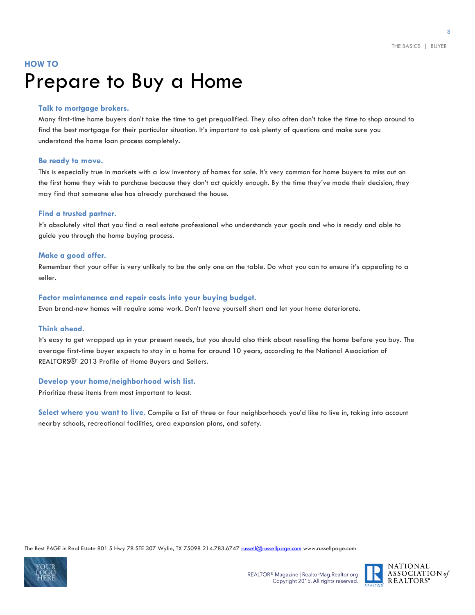### **HOW TO** Prepare to Buy a Home

#### **Talk to mortgage brokers.**

Many first-time home buyers don't take the time to get prequalified. They also often don't take the time to shop around to find the best mortgage for their particular situation. It's important to ask plenty of questions and make sure you understand the home loan process completely.

#### **Be ready to move.**

This is especially true in markets with a low inventory of homes for sale. It's very common for home buyers to miss out on the first home they wish to purchase because they don't act quickly enough. By the time they've made their decision, they may find that someone else has already purchased the house.

#### **Find a trusted partner.**

It's absolutely vital that you find a real estate professional who understands your goals and who is ready and able to guide you through the home buying process.

#### **Make a good offer.**

Remember that your offer is very unlikely to be the only one on the table. Do what you can to ensure it's appealing to a seller.

#### **Factor maintenance and repair costs into your buying budget.**

Even brand-new homes will require some work. Don't leave yourself short and let your home deteriorate.

#### **Think ahead.**

It's easy to get wrapped up in your present needs, but you should also think about reselling the home before you buy. The average first-time buyer expects to stay in a home for around 10 years, according to the National Association of REALTORS®' 2013 Profile of Home Buyers and Sellers.

#### **Develop your home/neighborhood wish list.**

Prioritize these items from most important to least.

**Select where you want to live.** Compile a list of three or four neighborhoods you'd like to live in, taking into account nearby schools, recreational facilities, area expansion plans, and safety.



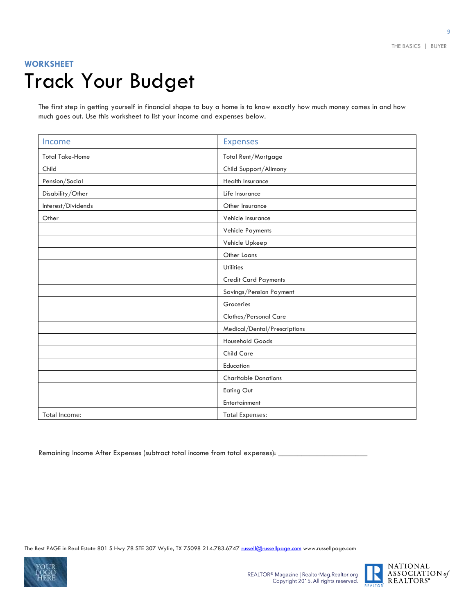### **WORKSHEET** Track Your Budget

The first step in getting yourself in financial shape to buy a home is to know exactly how much money comes in and how much goes out. Use this worksheet to list your income and expenses below.

| Income                 | <b>Expenses</b>              |
|------------------------|------------------------------|
| <b>Total Take-Home</b> | Total Rent/Mortgage          |
| Child                  | Child Support/Alimony        |
| Pension/Social         | Health Insurance             |
| Disability/Other       | Life Insurance               |
| Interest/Dividends     | Other Insurance              |
| Other                  | Vehicle Insurance            |
|                        | Vehicle Payments             |
|                        | Vehicle Upkeep               |
|                        | Other Loans                  |
|                        | <b>Utilities</b>             |
|                        | <b>Credit Card Payments</b>  |
|                        | Savings/Pension Payment      |
|                        | Groceries                    |
|                        | Clothes/Personal Care        |
|                        | Medical/Dental/Prescriptions |
|                        | Household Goods              |
|                        | <b>Child Care</b>            |
|                        | Education                    |
|                        | <b>Charitable Donations</b>  |
|                        | Eating Out                   |
|                        | Entertainment                |
| Total Income:          | <b>Total Expenses:</b>       |

Remaining Income After Expenses (subtract total income from total expenses):



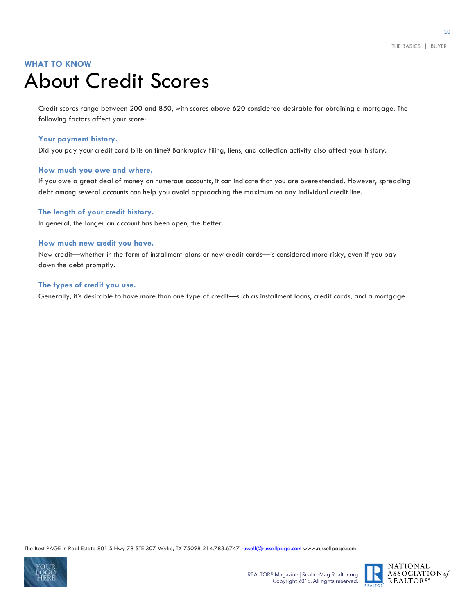### **WHAT TO KNOW** About Credit Scores

Credit scores range between 200 and 850, with scores above 620 considered desirable for obtaining a mortgage. The following factors affect your score:

#### **Your payment history.**

Did you pay your credit card bills on time? Bankruptcy filing, liens, and collection activity also affect your history.

#### **How much you owe and where.**

If you owe a great deal of money on numerous accounts, it can indicate that you are overextended. However, spreading debt among several accounts can help you avoid approaching the maximum on any individual credit line.

#### **The length of your credit history.**

In general, the longer an account has been open, the better.

#### **How much new credit you have.**

New credit—whether in the form of installment plans or new credit cards—is considered more risky, even if you pay down the debt promptly.

#### **The types of credit you use.**

Generally, it's desirable to have more than one type of credit—such as installment loans, credit cards, and a mortgage.



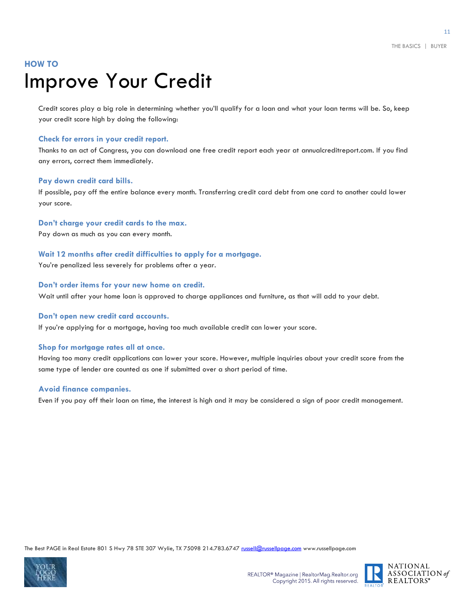### **HOW TO** Improve Your Credit

Credit scores play a big role in determining whether you'll qualify for a loan and what your loan terms will be. So, keep your credit score high by doing the following:

#### **Check for errors in your credit report.**

Thanks to an act of Congress, you can download one free credit report each year at annualcreditreport.com. If you find any errors, correct them immediately.

#### **Pay down credit card bills.**

If possible, pay off the entire balance every month. Transferring credit card debt from one card to another could lower your score.

**Don't charge your credit cards to the max.**

Pay down as much as you can every month.

#### **Wait 12 months after credit difficulties to apply for a mortgage.**

You're penalized less severely for problems after a year.

#### **Don't order items for your new home on credit.**

Wait until after your home loan is approved to charge appliances and furniture, as that will add to your debt.

#### **Don't open new credit card accounts.**

If you're applying for a mortgage, having too much available credit can lower your score.

#### **Shop for mortgage rates all at once.**

Having too many credit applications can lower your score. However, multiple inquiries about your credit score from the same type of lender are counted as one if submitted over a short period of time.

#### **Avoid finance companies.**

Even if you pay off their loan on time, the interest is high and it may be considered a sign of poor credit management.



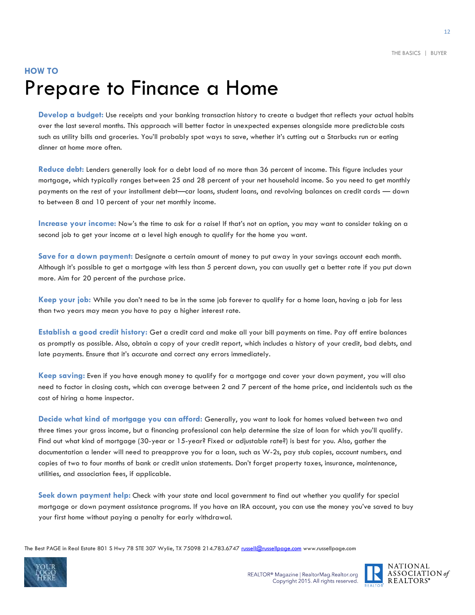### **HOW TO** Prepare to Finance a Home

**Develop a budget:** Use receipts and your banking transaction history to create a budget that reflects your actual habits over the last several months. This approach will better factor in unexpected expenses alongside more predictable costs such as utility bills and groceries. You'll probably spot ways to save, whether it's cutting out a Starbucks run or eating dinner at home more often.

**Reduce debt:** Lenders generally look for a debt load of no more than 36 percent of income. This figure includes your mortgage, which typically ranges between 25 and 28 percent of your net household income. So you need to get monthly payments on the rest of your installment debt—car loans, student loans, and revolving balances on credit cards — down to between 8 and 10 percent of your net monthly income.

**Increase your income:** Now's the time to ask for a raise! If that's not an option, you may want to consider taking on a second job to get your income at a level high enough to qualify for the home you want.

**Save for a down payment:** Designate a certain amount of money to put away in your savings account each month. Although it's possible to get a mortgage with less than 5 percent down, you can usually get a better rate if you put down more. Aim for 20 percent of the purchase price.

**Keep your job:** While you don't need to be in the same job forever to qualify for a home loan, having a job for less than two years may mean you have to pay a higher interest rate.

**Establish a good credit history:** Get a credit card and make all your bill payments on time. Pay off entire balances as promptly as possible. Also, obtain a copy of your credit report, which includes a history of your credit, bad debts, and late payments. Ensure that it's accurate and correct any errors immediately.

**Keep saving:** Even if you have enough money to qualify for a mortgage and cover your down payment, you will also need to factor in closing costs, which can average between 2 and 7 percent of the home price, and incidentals such as the cost of hiring a home inspector.

**Decide what kind of mortgage you can afford:** Generally, you want to look for homes valued between two and three times your gross income, but a financing professional can help determine the size of loan for which you'll qualify. Find out what kind of mortgage (30-year or 15-year? Fixed or adjustable rate?) is best for you. Also, gather the documentation a lender will need to preapprove you for a loan, such as W-2s, pay stub copies, account numbers, and copies of two to four months of bank or credit union statements. Don't forget property taxes, insurance, maintenance, utilities, and association fees, if applicable.

**Seek down payment help:** Check with your state and local government to find out whether you qualify for special mortgage or down payment assistance programs. If you have an IRA account, you can use the money you've saved to buy your first home without paying a penalty for early withdrawal.



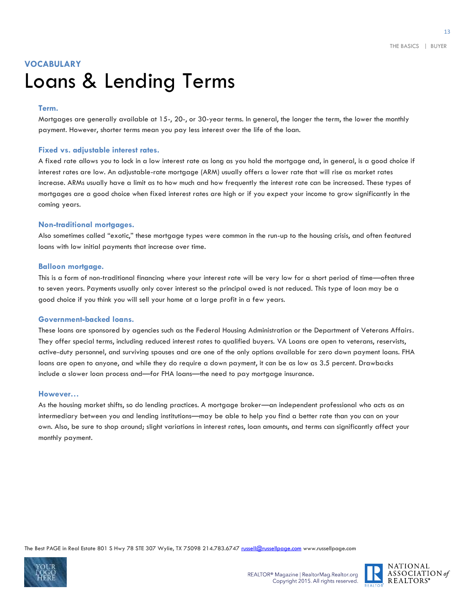### **VOCABULARY**  Loans & Lending Terms

#### **Term.**

Mortgages are generally available at 15-, 20-, or 30-year terms. In general, the longer the term, the lower the monthly payment. However, shorter terms mean you pay less interest over the life of the loan.

#### **Fixed vs. adjustable interest rates.**

A fixed rate allows you to lock in a low interest rate as long as you hold the mortgage and, in general, is a good choice if interest rates are low. An adjustable-rate mortgage (ARM) usually offers a lower rate that will rise as market rates increase. ARMs usually have a limit as to how much and how frequently the interest rate can be increased. These types of mortgages are a good choice when fixed interest rates are high or if you expect your income to grow significantly in the coming years.

#### **Non-traditional mortgages.**

Also sometimes called "exotic," these mortgage types were common in the run-up to the housing crisis, and often featured loans with low initial payments that increase over time.

#### **Balloon mortgage.**

This is a form of non-traditional financing where your interest rate will be very low for a short period of time—often three to seven years. Payments usually only cover interest so the principal owed is not reduced. This type of loan may be a good choice if you think you will sell your home at a large profit in a few years.

#### **Government-backed loans.**

These loans are sponsored by agencies such as the Federal Housing Administration or the Department of Veterans Affairs. They offer special terms, including reduced interest rates to qualified buyers. VA Loans are open to veterans, reservists, active-duty personnel, and surviving spouses and are one of the only options available for zero down payment loans. FHA loans are open to anyone, and while they do require a down payment, it can be as low as 3.5 percent. Drawbacks include a slower loan process and—for FHA loans—the need to pay mortgage insurance.

#### **However…**

As the housing market shifts, so do lending practices. A mortgage broker—an independent professional who acts as an intermediary between you and lending institutions—may be able to help you find a better rate than you can on your own. Also, be sure to shop around; slight variations in interest rates, loan amounts, and terms can significantly affect your monthly payment.



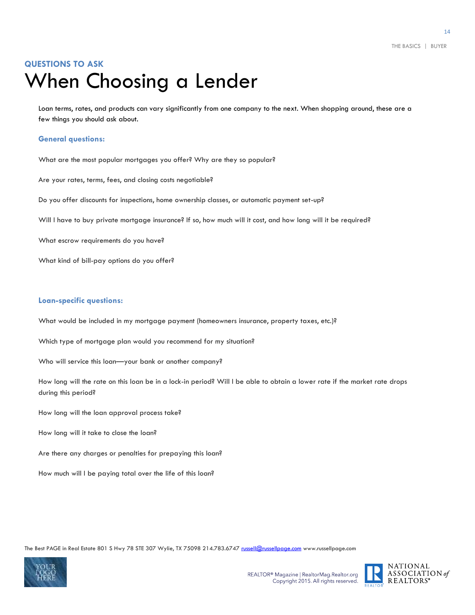### **QUESTIONS TO ASK** When Choosing a Lender

Loan terms, rates, and products can vary significantly from one company to the next. When shopping around, these are a few things you should ask about.

#### **General questions:**

What are the most popular mortgages you offer? Why are they so popular?

Are your rates, terms, fees, and closing costs negotiable?

Do you offer discounts for inspections, home ownership classes, or automatic payment set-up?

Will I have to buy private mortgage insurance? If so, how much will it cost, and how long will it be required?

What escrow requirements do you have?

What kind of bill-pay options do you offer?

#### **Loan-specific questions:**

What would be included in my mortgage payment (homeowners insurance, property taxes, etc.)?

Which type of mortgage plan would you recommend for my situation?

Who will service this loan—your bank or another company?

How long will the rate on this loan be in a lock-in period? Will I be able to obtain a lower rate if the market rate drops during this period?

How long will the loan approval process take?

How long will it take to close the loan?

Are there any charges or penalties for prepaying this loan?

How much will I be paying total over the life of this loan?



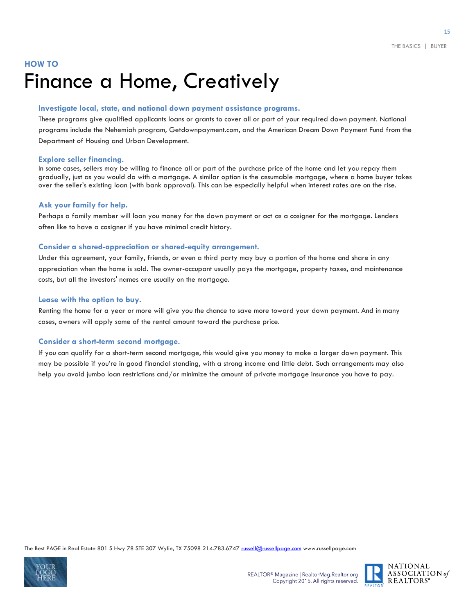### **HOW TO** Finance a Home, Creatively

#### **Investigate local, state, and national down payment assistance programs.**

These programs give qualified applicants loans or grants to cover all or part of your required down payment. National programs include the Nehemiah program, Getdownpayment.com, and the American Dream Down Payment Fund from the Department of Housing and Urban Development.

#### **Explore seller financing.**

In some cases, sellers may be willing to finance all or part of the purchase price of the home and let you repay them gradually, just as you would do with a mortgage. A similar option is the assumable mortgage, where a home buyer takes over the seller's existing loan (with bank approval). This can be especially helpful when interest rates are on the rise.

#### **Ask your family for help.**

Perhaps a family member will loan you money for the down payment or act as a cosigner for the mortgage. Lenders often like to have a cosigner if you have minimal credit history.

#### **Consider a shared-appreciation or shared-equity arrangement.**

Under this agreement, your family, friends, or even a third party may buy a portion of the home and share in any appreciation when the home is sold. The owner-occupant usually pays the mortgage, property taxes, and maintenance costs, but all the investors' names are usually on the mortgage.

#### **Lease with the option to buy.**

Renting the home for a year or more will give you the chance to save more toward your down payment. And in many cases, owners will apply some of the rental amount toward the purchase price.

#### **Consider a short-term second mortgage.**

If you can qualify for a short-term second mortgage, this would give you money to make a larger down payment. This may be possible if you're in good financial standing, with a strong income and little debt. Such arrangements may also help you avoid jumbo loan restrictions and/or minimize the amount of private mortgage insurance you have to pay.



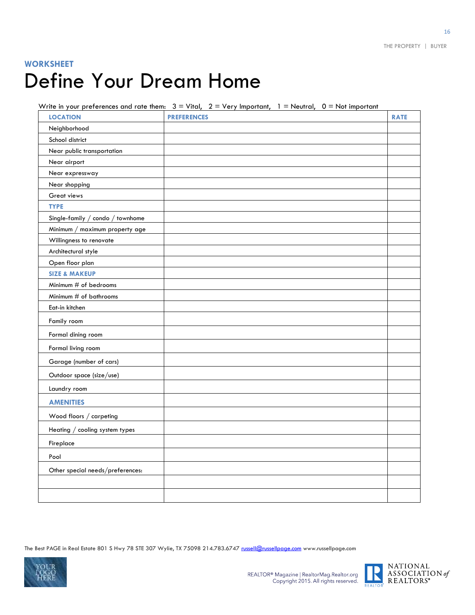### **WORKSHEET** Define Your Dream Home

Write in your preferences and rate them:  $3 =$  Vital,  $2 =$  Very Important,  $1 =$  Neutral,  $0 =$  Not important

| <b>LOCATION</b>                  | <b>PREFERENCES</b> | <b>RATE</b> |
|----------------------------------|--------------------|-------------|
| Neighborhood                     |                    |             |
| School district                  |                    |             |
| Near public transportation       |                    |             |
| Near airport                     |                    |             |
| Near expressway                  |                    |             |
| Near shopping                    |                    |             |
| Great views                      |                    |             |
| <b>TYPE</b>                      |                    |             |
| Single-family / condo / townhome |                    |             |
| Minimum / maximum property age   |                    |             |
| Willingness to renovate          |                    |             |
| Architectural style              |                    |             |
| Open floor plan                  |                    |             |
| <b>SIZE &amp; MAKEUP</b>         |                    |             |
| Minimum # of bedrooms            |                    |             |
| Minimum # of bathrooms           |                    |             |
| Eat-in kitchen                   |                    |             |
| Family room                      |                    |             |
| Formal dining room               |                    |             |
| Formal living room               |                    |             |
| Garage (number of cars)          |                    |             |
| Outdoor space (size/use)         |                    |             |
| Laundry room                     |                    |             |
| <b>AMENITIES</b>                 |                    |             |
| Wood floors / carpeting          |                    |             |
| Heating $/$ cooling system types |                    |             |
| Fireplace                        |                    |             |
| Pool                             |                    |             |
| Other special needs/preferences: |                    |             |
|                                  |                    |             |
|                                  |                    |             |

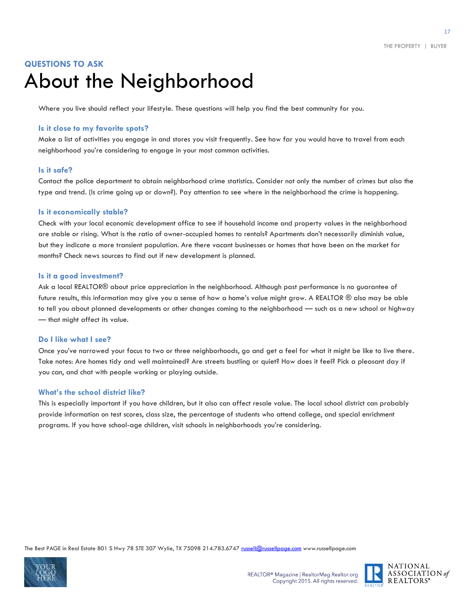### **QUESTIONS TO ASK** About the Neighborhood

Where you live should reflect your lifestyle. These questions will help you find the best community for you.

#### **Is it close to my favorite spots?**

Make a list of activities you engage in and stores you visit frequently. See how far you would have to travel from each neighborhood you're considering to engage in your most common activities.

#### **Is it safe?**

Contact the police department to obtain neighborhood crime statistics. Consider not only the number of crimes but also the type and trend. (Is crime going up or down?). Pay attention to see where in the neighborhood the crime is happening.

#### **Is it economically stable?**

Check with your local economic development office to see if household income and property values in the neighborhood are stable or rising. What is the ratio of owner-occupied homes to rentals? Apartments don't necessarily diminish value, but they indicate a more transient population. Are there vacant businesses or homes that have been on the market for months? Check news sources to find out if new development is planned.

#### **Is it a good investment?**

Ask a local REALTOR® about price appreciation in the neighborhood. Although past performance is no guarantee of future results, this information may give you a sense of how a home's value might grow. A REALTOR ® also may be able to tell you about planned developments or other changes coming to the neighborhood — such as a new school or highway — that might affect its value.

#### **Do I like what I see?**

Once you've narrowed your focus to two or three neighborhoods, go and get a feel for what it might be like to live there. Take notes: Are homes tidy and well maintained? Are streets bustling or quiet? How does it feel? Pick a pleasant day if you can, and chat with people working or playing outside.

#### **What's the school district like?**

This is especially important if you have children, but it also can affect resale value. The local school district can probably provide information on test scores, class size, the percentage of students who attend college, and special enrichment programs. If you have school-age children, visit schools in neighborhoods you're considering.



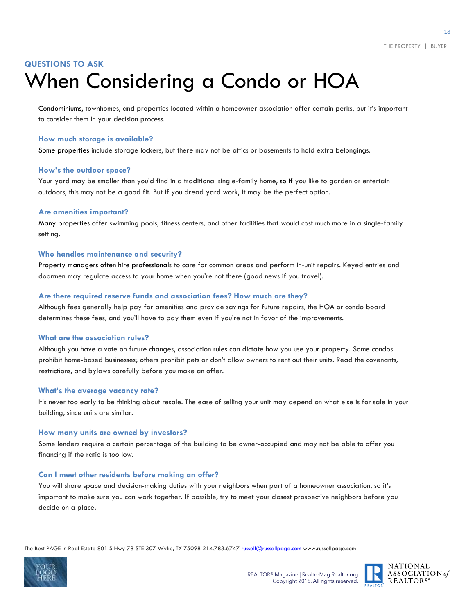### **QUESTIONS TO ASK** When Considering a Condo or HOA

Condominiums, townhomes, and properties located within a homeowner association offer certain perks, but it's important to consider them in your decision process.

#### **How much storage is available?**

Some properties include storage lockers, but there may not be attics or basements to hold extra belongings.

#### **How's the outdoor space?**

Your yard may be smaller than you'd find in a traditional single-family home, so if you like to garden or entertain outdoors, this may not be a good fit. But if you dread yard work, it may be the perfect option.

#### **Are amenities important?**

Many properties offer swimming pools, fitness centers, and other facilities that would cost much more in a single-family setting.

#### **Who handles maintenance and security?**

Property managers often hire professionals to care for common areas and perform in-unit repairs. Keyed entries and doormen may regulate access to your home when you're not there (good news if you travel).

#### **Are there required reserve funds and association fees? How much are they?**

Although fees generally help pay for amenities and provide savings for future repairs, the HOA or condo board determines these fees, and you'll have to pay them even if you're not in favor of the improvements.

#### **What are the association rules?**

Although you have a vote on future changes, association rules can dictate how you use your property. Some condos prohibit home-based businesses; others prohibit pets or don't allow owners to rent out their units. Read the covenants, restrictions, and bylaws carefully before you make an offer.

#### **What's the average vacancy rate?**

It's never too early to be thinking about resale. The ease of selling your unit may depend on what else is for sale in your building, since units are similar.

#### **How many units are owned by investors?**

Some lenders require a certain percentage of the building to be owner-occupied and may not be able to offer you financing if the ratio is too low.

#### **Can I meet other residents before making an offer?**

You will share space and decision-making duties with your neighbors when part of a homeowner association, so it's important to make sure you can work together. If possible, try to meet your closest prospective neighbors before you decide on a place.



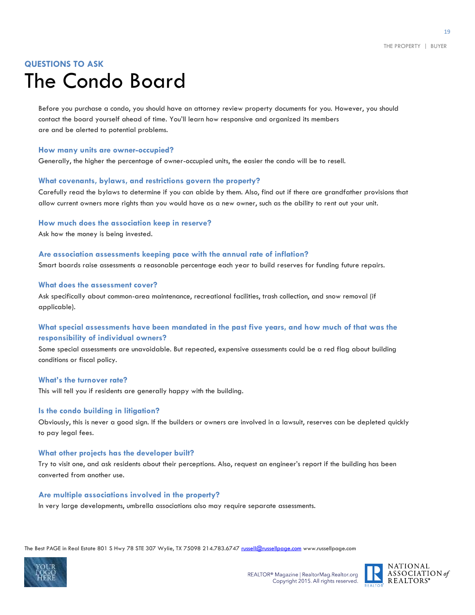### **QUESTIONS TO ASK** The Condo Board

Before you purchase a condo, you should have an attorney review property documents for you. However, you should contact the board yourself ahead of time. You'll learn how responsive and organized its members are and be alerted to potential problems.

#### **How many units are owner-occupied?**

Generally, the higher the percentage of owner-occupied units, the easier the condo will be to resell.

#### **What covenants, bylaws, and restrictions govern the property?**

Carefully read the bylaws to determine if you can abide by them. Also, find out if there are grandfather provisions that allow current owners more rights than you would have as a new owner, such as the ability to rent out your unit.

**How much does the association keep in reserve?**

Ask how the money is being invested.

#### **Are association assessments keeping pace with the annual rate of inflation?**

Smart boards raise assessments a reasonable percentage each year to build reserves for funding future repairs.

#### **What does the assessment cover?**

Ask specifically about common-area maintenance, recreational facilities, trash collection, and snow removal (if applicable).

#### **What special assessments have been mandated in the past five years, and how much of that was the responsibility of individual owners?**

Some special assessments are unavoidable. But repeated, expensive assessments could be a red flag about building conditions or fiscal policy.

#### **What's the turnover rate?**

This will tell you if residents are generally happy with the building.

#### **Is the condo building in litigation?**

Obviously, this is never a good sign. If the builders or owners are involved in a lawsuit, reserves can be depleted quickly to pay legal fees.

#### **What other projects has the developer built?**

Try to visit one, and ask residents about their perceptions. Also, request an engineer's report if the building has been converted from another use.

#### **Are multiple associations involved in the property?**

In very large developments, umbrella associations also may require separate assessments.



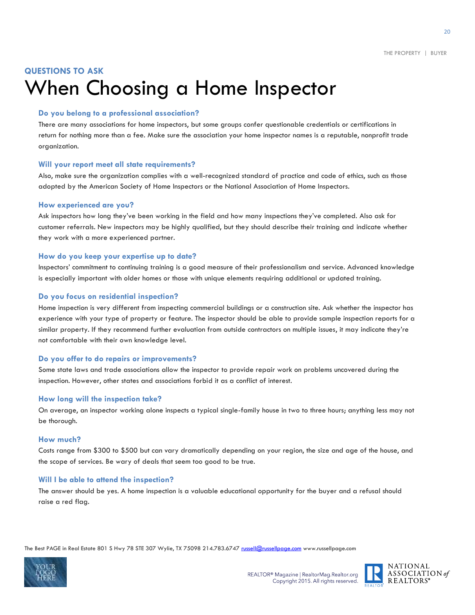### **QUESTIONS TO ASK** When Choosing a Home Inspector

#### **Do you belong to a professional association?**

There are many associations for home inspectors, but some groups confer questionable credentials or certifications in return for nothing more than a fee. Make sure the association your home inspector names is a reputable, nonprofit trade organization.

#### **Will your report meet all state requirements?**

Also, make sure the organization complies with a well-recognized standard of practice and code of ethics, such as those adopted by the American Society of Home Inspectors or the National Association of Home Inspectors.

#### **How experienced are you?**

Ask inspectors how long they've been working in the field and how many inspections they've completed. Also ask for customer referrals. New inspectors may be highly qualified, but they should describe their training and indicate whether they work with a more experienced partner.

#### **How do you keep your expertise up to date?**

Inspectors' commitment to continuing training is a good measure of their professionalism and service. Advanced knowledge is especially important with older homes or those with unique elements requiring additional or updated training.

#### **Do you focus on residential inspection?**

Home inspection is very different from inspecting commercial buildings or a construction site. Ask whether the inspector has experience with your type of property or feature. The inspector should be able to provide sample inspection reports for a similar property. If they recommend further evaluation from outside contractors on multiple issues, it may indicate they're not comfortable with their own knowledge level.

#### **Do you offer to do repairs or improvements?**

Some state laws and trade associations allow the inspector to provide repair work on problems uncovered during the inspection. However, other states and associations forbid it as a conflict of interest.

#### **How long will the inspection take?**

On average, an inspector working alone inspects a typical single-family house in two to three hours; anything less may not be thorough.

#### **How much?**

Costs range from \$300 to \$500 but can vary dramatically depending on your region, the size and age of the house, and the scope of services. Be wary of deals that seem too good to be true.

#### **Will I be able to attend the inspection?**

The answer should be yes. A home inspection is a valuable educational opportunity for the buyer and a refusal should raise a red flag.



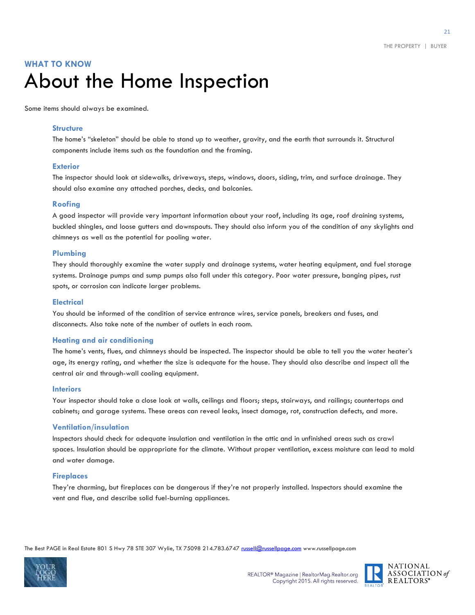### **WHAT TO KNOW**  About the Home Inspection

Some items should always be examined.

#### **Structure**

The home's "skeleton" should be able to stand up to weather, gravity, and the earth that surrounds it. Structural components include items such as the foundation and the framing.

#### **Exterior**

The inspector should look at sidewalks, driveways, steps, windows, doors, siding, trim, and surface drainage. They should also examine any attached porches, decks, and balconies.

#### **Roofing**

A good inspector will provide very important information about your roof, including its age, roof draining systems, buckled shingles, and loose gutters and downspouts. They should also inform you of the condition of any skylights and chimneys as well as the potential for pooling water.

#### **Plumbing**

They should thoroughly examine the water supply and drainage systems, water heating equipment, and fuel storage systems. Drainage pumps and sump pumps also fall under this category. Poor water pressure, banging pipes, rust spots, or corrosion can indicate larger problems.

#### **Electrical**

You should be informed of the condition of service entrance wires, service panels, breakers and fuses, and disconnects. Also take note of the number of outlets in each room.

#### **Heating and air conditioning**

The home's vents, flues, and chimneys should be inspected. The inspector should be able to tell you the water heater's age, its energy rating, and whether the size is adequate for the house. They should also describe and inspect all the central air and through-wall cooling equipment.

#### **Interiors**

Your inspector should take a close look at walls, ceilings and floors; steps, stairways, and railings; countertops and cabinets; and garage systems. These areas can reveal leaks, insect damage, rot, construction defects, and more.

#### **Ventilation/insulation**

Inspectors should check for adequate insulation and ventilation in the attic and in unfinished areas such as crawl spaces. Insulation should be appropriate for the climate. Without proper ventilation, excess moisture can lead to mold and water damage.

#### **Fireplaces**

They're charming, but fireplaces can be dangerous if they're not properly installed. Inspectors should examine the vent and flue, and describe solid fuel-burning appliances.



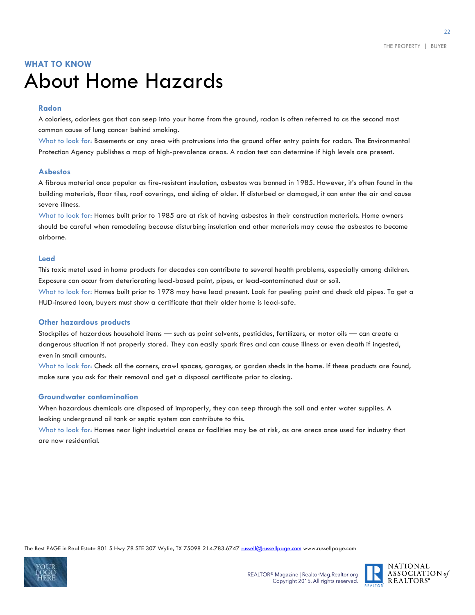### **WHAT TO KNOW** About Home Hazards

#### **Radon**

A colorless, odorless gas that can seep into your home from the ground, radon is often referred to as the second most common cause of lung cancer behind smoking.

What to look for: Basements or any area with protrusions into the ground offer entry points for radon. The Environmental Protection Agency publishes a map of high-prevalence areas. A radon test can determine if high levels are present.

#### **Asbestos**

A fibrous material once popular as fire-resistant insulation, asbestos was banned in 1985. However, it's often found in the building materials, floor tiles, roof coverings, and siding of older. If disturbed or damaged, it can enter the air and cause severe illness.

What to look for: Homes built prior to 1985 are at risk of having asbestos in their construction materials. Home owners should be careful when remodeling because disturbing insulation and other materials may cause the asbestos to become airborne.

#### **Lead**

This toxic metal used in home products for decades can contribute to several health problems, especially among children. Exposure can occur from deteriorating lead-based paint, pipes, or lead-contaminated dust or soil. What to look for: Homes built prior to 1978 may have lead present. Look for peeling paint and check old pipes. To get a HUD-insured loan, buyers must show a certificate that their older home is lead-safe.

#### **Other hazardous products**

Stockpiles of hazardous household items — such as paint solvents, pesticides, fertilizers, or motor oils — can create a dangerous situation if not properly stored. They can easily spark fires and can cause illness or even death if ingested, even in small amounts.

What to look for: Check all the corners, crawl spaces, garages, or garden sheds in the home. If these products are found, make sure you ask for their removal and get a disposal certificate prior to closing.

#### **Groundwater contamination**

When hazardous chemicals are disposed of improperly, they can seep through the soil and enter water supplies. A leaking underground oil tank or septic system can contribute to this.

What to look for: Homes near light industrial areas or facilities may be at risk, as are areas once used for industry that are now residential.



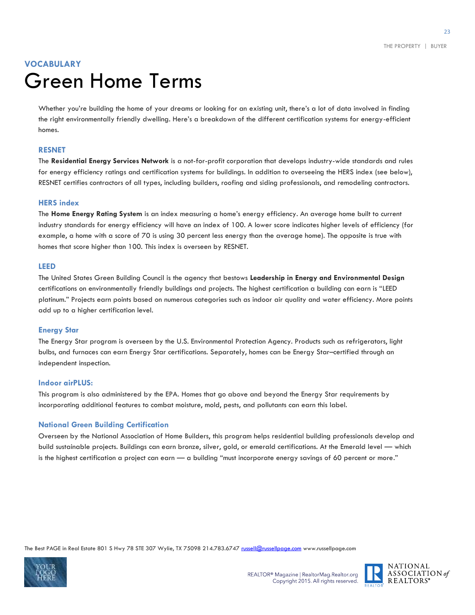### **VOCABULARY**  Green Home Terms

Whether you're building the home of your dreams or looking for an existing unit, there's a lot of data involved in finding the right environmentally friendly dwelling. Here's a breakdown of the different certification systems for energy-efficient homes.

#### **RESNET**

The **Residential Energy Services Network** is a not-for-profit corporation that develops industry-wide standards and rules for energy efficiency ratings and certification systems for buildings. In addition to overseeing the HERS index (see below), RESNET certifies contractors of all types, including builders, roofing and siding professionals, and remodeling contractors.

#### **HERS index**

The **Home Energy Rating System** is an index measuring a home's energy efficiency. An average home built to current industry standards for energy efficiency will have an index of 100. A lower score indicates higher levels of efficiency (for example, a home with a score of 70 is using 30 percent less energy than the average home). The opposite is true with homes that score higher than 100. This index is overseen by RESNET.

#### **LEED**

The United States Green Building Council is the agency that bestows **Leadership in Energy and Environmental Design** certifications on environmentally friendly buildings and projects. The highest certification a building can earn is "LEED platinum." Projects earn points based on numerous categories such as indoor air quality and water efficiency. More points add up to a higher certification level.

#### **Energy Star**

The Energy Star program is overseen by the U.S. Environmental Protection Agency. Products such as refrigerators, light bulbs, and furnaces can earn Energy Star certifications. Separately, homes can be Energy Star–certified through an independent inspection.

#### **Indoor airPLUS:**

This program is also administered by the EPA. Homes that go above and beyond the Energy Star requirements by incorporating additional features to combat moisture, mold, pests, and pollutants can earn this label.

#### **National Green Building Certification**

Overseen by the National Association of Home Builders, this program helps residential building professionals develop and build sustainable projects. Buildings can earn bronze, silver, gold, or emerald certifications. At the Emerald level — which is the highest certification a project can earn — a building "must incorporate energy savings of 60 percent or more."



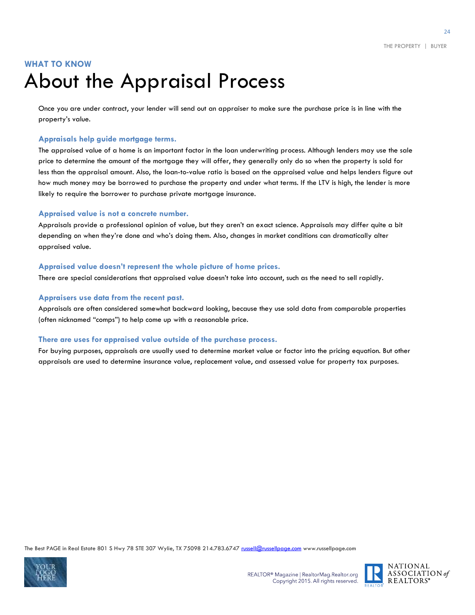### **WHAT TO KNOW** About the Appraisal Process

Once you are under contract, your lender will send out an appraiser to make sure the purchase price is in line with the property's value.

#### **Appraisals help guide mortgage terms.**

The appraised value of a home is an important factor in the loan underwriting process. Although lenders may use the sale price to determine the amount of the mortgage they will offer, they generally only do so when the property is sold for less than the appraisal amount. Also, the loan-to-value ratio is based on the appraised value and helps lenders figure out how much money may be borrowed to purchase the property and under what terms. If the LTV is high, the lender is more likely to require the borrower to purchase private mortgage insurance.

#### **Appraised value is not a concrete number.**

Appraisals provide a professional opinion of value, but they aren't an exact science. Appraisals may differ quite a bit depending on when they're done and who's doing them. Also, changes in market conditions can dramatically alter appraised value.

#### **Appraised value doesn't represent the whole picture of home prices.**

There are special considerations that appraised value doesn't take into account, such as the need to sell rapidly.

#### **Appraisers use data from the recent past.**

Appraisals are often considered somewhat backward looking, because they use sold data from comparable properties (often nicknamed "comps") to help come up with a reasonable price.

#### **There are uses for appraised value outside of the purchase process.**

For buying purposes, appraisals are usually used to determine market value or factor into the pricing equation. But other appraisals are used to determine insurance value, replacement value, and assessed value for property tax purposes.



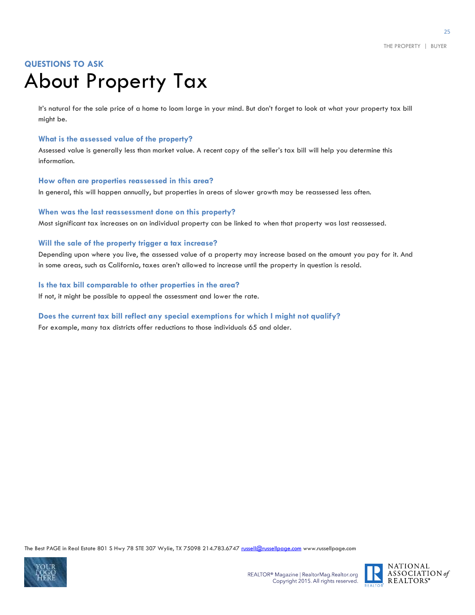### **QUESTIONS TO ASK** About Property Tax

It's natural for the sale price of a home to loom large in your mind. But don't forget to look at what your property tax bill might be.

#### **What is the assessed value of the property?**

Assessed value is generally less than market value. A recent copy of the seller's tax bill will help you determine this information.

#### **How often are properties reassessed in this area?**

In general, this will happen annually, but properties in areas of slower growth may be reassessed less often.

#### **When was the last reassessment done on this property?**

Most significant tax increases on an individual property can be linked to when that property was last reassessed.

#### **Will the sale of the property trigger a tax increase?**

Depending upon where you live, the assessed value of a property may increase based on the amount you pay for it. And in some areas, such as California, taxes aren't allowed to increase until the property in question is resold.

**Is the tax bill comparable to other properties in the area?** If not, it might be possible to appeal the assessment and lower the rate.

#### **Does the current tax bill reflect any special exemptions for which I might not qualify?**

For example, many tax districts offer reductions to those individuals 65 and older.



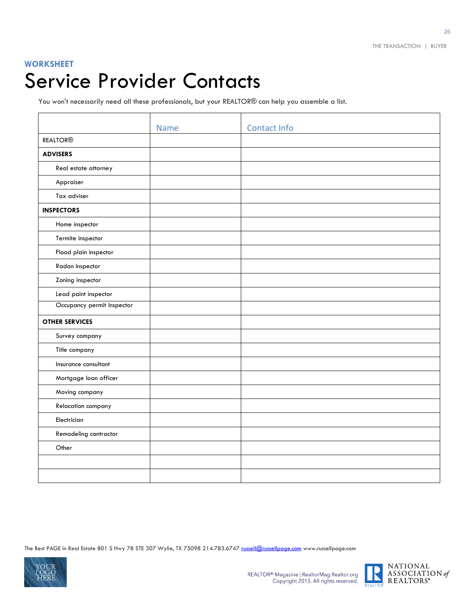#### **WORKSHEET**

# Service Provider Contacts

You won't necessarily need all these professionals, but your REALTOR® can help you assemble a list.

|                            | <b>Name</b> | <b>Contact Info</b> |
|----------------------------|-------------|---------------------|
| <b>REALTOR®</b>            |             |                     |
| <b>ADVISERS</b>            |             |                     |
| Real estate attorney       |             |                     |
| Appraiser                  |             |                     |
| Tax adviser                |             |                     |
| <b>INSPECTORS</b>          |             |                     |
| Home inspector             |             |                     |
| Termite inspector          |             |                     |
| Flood plain inspector      |             |                     |
| Radon inspector            |             |                     |
| Zoning inspector           |             |                     |
| Lead paint inspector       |             |                     |
| Occupancy permit inspector |             |                     |
| <b>OTHER SERVICES</b>      |             |                     |
| Survey company             |             |                     |
| Title company              |             |                     |
| Insurance consultant       |             |                     |
| Mortgage loan officer      |             |                     |
| Moving company             |             |                     |
| Relocation company         |             |                     |
| Electrician                |             |                     |
| Remodeling contractor      |             |                     |
| Other                      |             |                     |
|                            |             |                     |
|                            |             |                     |

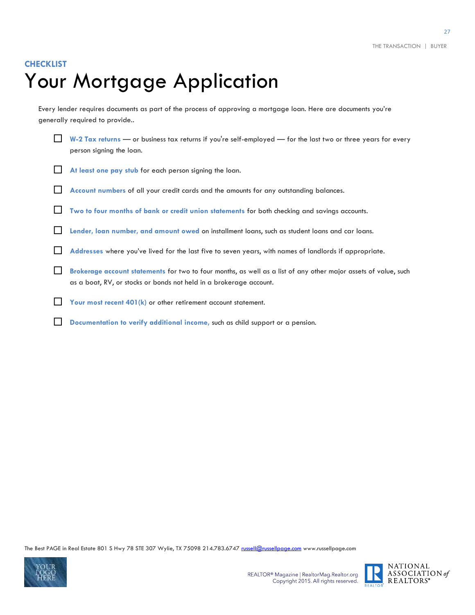### **CHECKLIST** Your Mortgage Application

Every lender requires documents as part of the process of approving a mortgage loan. Here are documents you're generally required to provide..

 **W-2 Tax returns** — or business tax returns if you're self-employed — for the last two or three years for every person signing the loan.

- At least one pay stub for each person signing the loan.
- **Account numbers** of all your credit cards and the amounts for any outstanding balances.
- **Two to four months of bank or credit union statements** for both checking and savings accounts.
- **Lender, loan number, and amount owed** on installment loans, such as student loans and car loans.
- **Addresses** where you've lived for the last five to seven years, with names of landlords if appropriate.
- **Brokerage account statements** for two to four months, as well as a list of any other major assets of value, such as a boat, RV, or stocks or bonds not held in a brokerage account.
- **Your most recent 401(k)** or other retirement account statement.
- **Documentation to verify additional income, such as child support or a pension.**



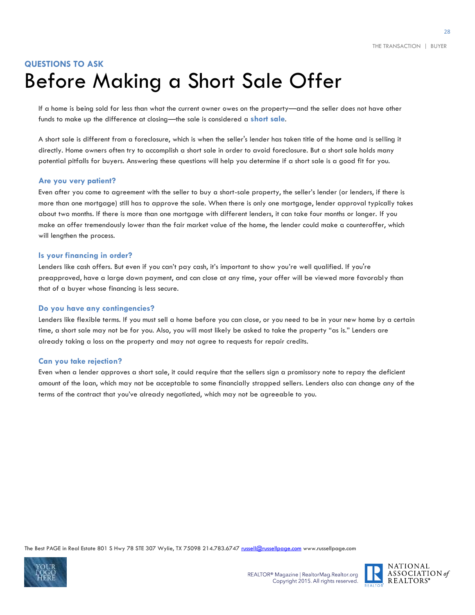### **QUESTIONS TO ASK** Before Making a Short Sale Offer

If a home is being sold for less than what the current owner owes on the property—and the seller does not have other funds to make up the difference at closing—the sale is considered a **short sale**.

A short sale is different from a foreclosure, which is when the seller's lender has taken title of the home and is selling it directly. Home owners often try to accomplish a short sale in order to avoid foreclosure. But a short sale holds many potential pitfalls for buyers. Answering these questions will help you determine if a short sale is a good fit for you.

#### **Are you very patient?**

Even after you come to agreement with the seller to buy a short-sale property, the seller's lender (or lenders, if there is more than one mortgage) still has to approve the sale. When there is only one mortgage, lender approval typically takes about two months. If there is more than one mortgage with different lenders, it can take four months or longer. If you make an offer tremendously lower than the fair market value of the home, the lender could make a counteroffer, which will lengthen the process.

#### **Is your financing in order?**

Lenders like cash offers. But even if you can't pay cash, it's important to show you're well qualified. If you're preapproved, have a large down payment, and can close at any time, your offer will be viewed more favorably than that of a buyer whose financing is less secure.

#### **Do you have any contingencies?**

Lenders like flexible terms. If you must sell a home before you can close, or you need to be in your new home by a certain time, a short sale may not be for you. Also, you will most likely be asked to take the property "as is." Lenders are already taking a loss on the property and may not agree to requests for repair credits.

#### **Can you take rejection?**

Even when a lender approves a short sale, it could require that the sellers sign a promissory note to repay the deficient amount of the loan, which may not be acceptable to some financially strapped sellers. Lenders also can change any of the terms of the contract that you've already negotiated, which may not be agreeable to you.



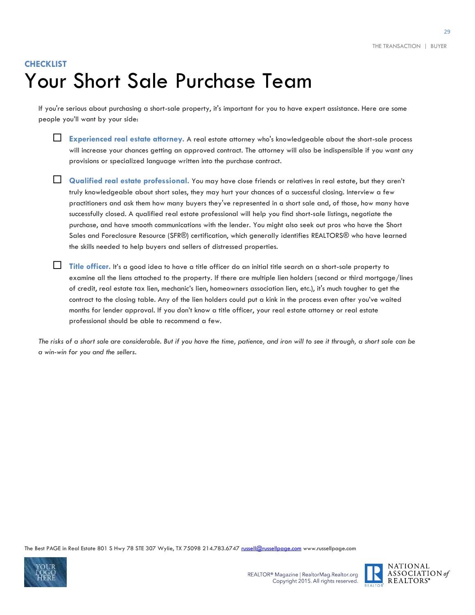### **CHECKLIST** Your Short Sale Purchase Team

If you're serious about purchasing a short-sale property, it's important for you to have expert assistance. Here are some people you'll want by your side:



 **Experienced real estate attorney.** A real estate attorney who's knowledgeable about the short-sale process will increase your chances getting an approved contract. The attorney will also be indispensible if you want any provisions or specialized language written into the purchase contract.

**Qualified real estate professional.** You may have close friends or relatives in real estate, but they aren't truly knowledgeable about short sales, they may hurt your chances of a successful closing. Interview a few practitioners and ask them how many buyers they've represented in a short sale and, of those, how many have successfully closed. A qualified real estate professional will help you find short-sale listings, negotiate the purchase, and have smooth communications with the lender. You might also seek out pros who have the Short Sales and Foreclosure Resource (SFR®) certification, which generally identifies REALTORS® who have learned the skills needed to help buyers and sellers of distressed properties.

Title officer. It's a good idea to have a title officer do an initial title search on a short-sale property to examine all the liens attached to the property. If there are multiple lien holders (second or third mortgage/lines of credit, real estate tax lien, mechanic's lien, homeowners association lien, etc.), it's much tougher to get the contract to the closing table. Any of the lien holders could put a kink in the process even after you've waited months for lender approval. If you don't know a title officer, your real estate attorney or real estate professional should be able to recommend a few.

*The risks of a short sale are considerable. But if you have the time, patience, and iron will to see it through, a short sale can be a win-win for you and the sellers.*



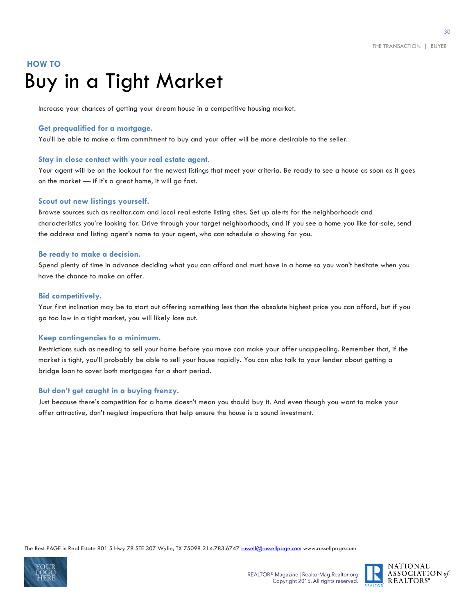### **HOW TO**  Buy in a Tight Market

Increase your chances of getting your dream house in a competitive housing market.

#### **Get prequalified for a mortgage.**

You'll be able to make a firm commitment to buy and your offer will be more desirable to the seller.

#### **Stay in close contact with your real estate agent.**

Your agent will be on the lookout for the newest listings that meet your criteria. Be ready to see a house as soon as it goes on the market — if it's a great home, it will go fast.

#### **Scout out new listings yourself.**

Browse sources such as realtor.com and local real estate listing sites. Set up alerts for the neighborhoods and characteristics you're looking for. Drive through your target neighborhoods, and if you see a home you like for-sale, send the address and listing agent's name to your agent, who can schedule a showing for you.

#### **Be ready to make a decision.**

Spend plenty of time in advance deciding what you can afford and must have in a home so you won't hesitate when you have the chance to make an offer.

#### **Bid competitively.**

Your first inclination may be to start out offering something less than the absolute highest price you can afford, but if you go too low in a tight market, you will likely lose out.

#### **Keep contingencies to a minimum.**

Restrictions such as needing to sell your home before you move can make your offer unappealing. Remember that, if the market is tight, you'll probably be able to sell your house rapidly. You can also talk to your lender about getting a bridge loan to cover both mortgages for a short period.

#### **But don't get caught in a buying frenzy.**

Just because there's competition for a home doesn't mean you should buy it. And even though you want to make your offer attractive, don't neglect inspections that help ensure the house is a sound investment.



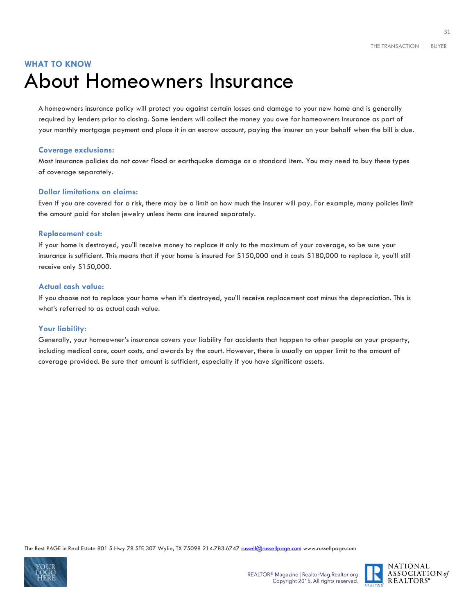### **WHAT TO KNOW**  About Homeowners Insurance

A homeowners insurance policy will protect you against certain losses and damage to your new home and is generally required by lenders prior to closing. Some lenders will collect the money you owe for homeowners insurance as part of your monthly mortgage payment and place it in an escrow account, paying the insurer on your behalf when the bill is due.

#### **Coverage exclusions:**

Most insurance policies do not cover flood or earthquake damage as a standard item. You may need to buy these types of coverage separately.

#### **Dollar limitations on claims:**

Even if you are covered for a risk, there may be a limit on how much the insurer will pay. For example, many policies limit the amount paid for stolen jewelry unless items are insured separately.

#### **Replacement cost:**

If your home is destroyed, you'll receive money to replace it only to the maximum of your coverage, so be sure your insurance is sufficient. This means that if your home is insured for \$150,000 and it costs \$180,000 to replace it, you'll still receive only \$150,000.

#### **Actual cash value:**

If you choose not to replace your home when it's destroyed, you'll receive replacement cost minus the depreciation. This is what's referred to as actual cash value.

#### **Your liability:**

Generally, your homeowner's insurance covers your liability for accidents that happen to other people on your property, including medical care, court costs, and awards by the court. However, there is usually an upper limit to the amount of coverage provided. Be sure that amount is sufficient, especially if you have significant assets.



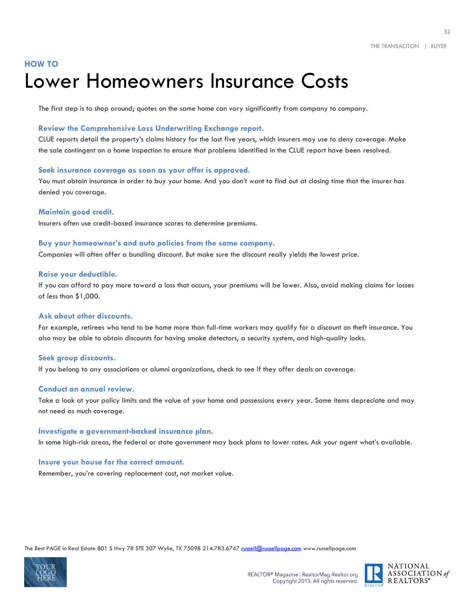### **HOW TO** Lower Homeowners Insurance Costs

The first step is to shop around; quotes on the same home can vary significantly from company to company.

#### **Review the Comprehensive Loss Underwriting Exchange report.**

CLUE reports detail the property's claims history for the last five years, which insurers may use to deny coverage. Make the sale contingent on a home inspection to ensure that problems identified in the CLUE report have been resolved.

#### **Seek insurance coverage as soon as your offer is approved.**

You must obtain insurance in order to buy your home. And you don't want to find out at closing time that the insurer has denied you coverage.

#### **Maintain good credit.**

Insurers often use credit-based insurance scores to determine premiums.

#### **Buy your homeowner's and auto policies from the same company.**

Companies will often offer a bundling discount. But make sure the discount really yields the lowest price.

#### **Raise your deductible.**

If you can afford to pay more toward a loss that occurs, your premiums will be lower. Also, avoid making claims for losses of less than \$1,000.

#### **Ask about other discounts.**

For example, retirees who tend to be home more than full-time workers may qualify for a discount on theft insurance. You also may be able to obtain discounts for having smoke detectors, a security system, and high-quality locks.

#### **Seek group discounts.**

If you belong to any associations or alumni organizations, check to see if they offer deals on coverage.

#### **Conduct an annual review.**

Take a look at your policy limits and the value of your home and possessions every year. Some items depreciate and may not need as much coverage.

#### **Investigate a government-backed insurance plan.**

In some high-risk areas, the federal or state government may back plans to lower rates. Ask your agent what's available.

#### **Insure your house for the correct amount.**

Remember, you're covering replacement cost, not market value.



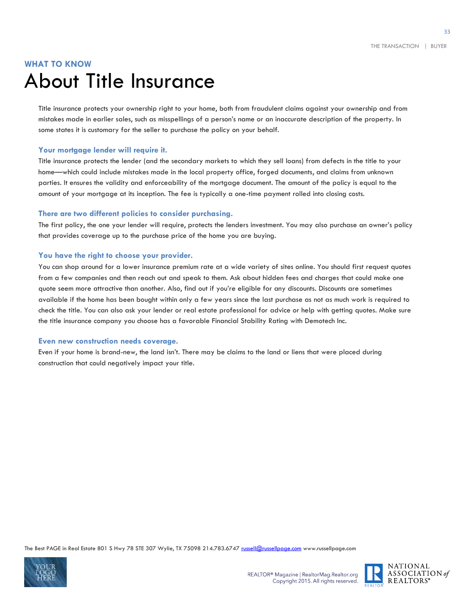### **WHAT TO KNOW** About Title Insurance

Title insurance protects your ownership right to your home, both from fraudulent claims against your ownership and from mistakes made in earlier sales, such as misspellings of a person's name or an inaccurate description of the property. In some states it is customary for the seller to purchase the policy on your behalf.

#### **Your mortgage lender will require it.**

Title insurance protects the lender (and the secondary markets to which they sell loans) from defects in the title to your home—which could include mistakes made in the local property office, forged documents, and claims from unknown parties. It ensures the validity and enforceability of the mortgage document. The amount of the policy is equal to the amount of your mortgage at its inception. The fee is typically a one-time payment rolled into closing costs.

#### **There are two different policies to consider purchasing.**

The first policy, the one your lender will require, protects the lenders investment. You may also purchase an owner's policy that provides coverage up to the purchase price of the home you are buying.

#### **You have the right to choose your provider.**

You can shop around for a lower insurance premium rate at a wide variety of sites online. You should first request quotes from a few companies and then reach out and speak to them. Ask about hidden fees and charges that could make one quote seem more attractive than another. Also, find out if you're eligible for any discounts. Discounts are sometimes available if the home has been bought within only a few years since the last purchase as not as much work is required to check the title. You can also ask your lender or real estate professional for advice or help with getting quotes. Make sure the title insurance company you choose has a favorable Financial Stability Rating with Demotech Inc.

#### **Even new construction needs coverage.**

Even if your home is brand-new, the land isn't. There may be claims to the land or liens that were placed during construction that could negatively impact your title.





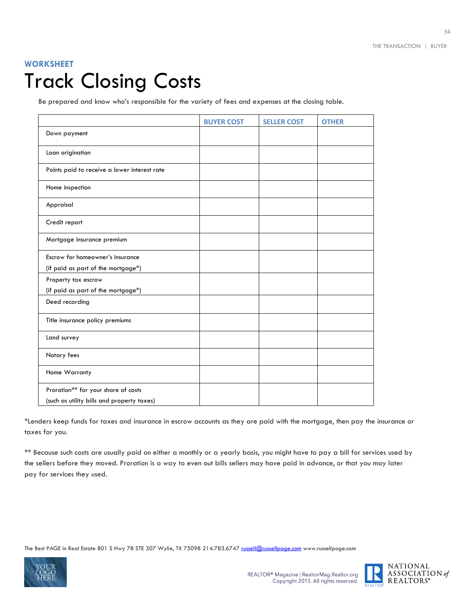### **WORKSHEET** Track Closing Costs

Be prepared and know who's responsible for the variety of fees and expenses at the closing table.

|                                              | <b>BUYER COST</b> | <b>SELLER COST</b> | <b>OTHER</b> |
|----------------------------------------------|-------------------|--------------------|--------------|
| Down payment                                 |                   |                    |              |
| Loan origination                             |                   |                    |              |
| Points paid to receive a lower interest rate |                   |                    |              |
| Home inspection                              |                   |                    |              |
| Appraisal                                    |                   |                    |              |
| Credit report                                |                   |                    |              |
| Mortgage insurance premium                   |                   |                    |              |
| Escrow for homeowner's insurance             |                   |                    |              |
| (if paid as part of the mortgage*)           |                   |                    |              |
| Property tax escrow                          |                   |                    |              |
| (if paid as part of the mortgage*)           |                   |                    |              |
| Deed recording                               |                   |                    |              |
| Title insurance policy premiums              |                   |                    |              |
| Land survey                                  |                   |                    |              |
| Notary fees                                  |                   |                    |              |
| Home Warranty                                |                   |                    |              |
| Proration** for your share of costs          |                   |                    |              |
| (such as utility bills and property taxes)   |                   |                    |              |

\*Lenders keep funds for taxes and insurance in escrow accounts as they are paid with the mortgage, then pay the insurance or taxes for you.

\*\* Because such costs are usually paid on either a monthly or a yearly basis, you might have to pay a bill for services used by the sellers before they moved. Proration is a way to even out bills sellers may have paid in advance, or that you may later pay for services they used.



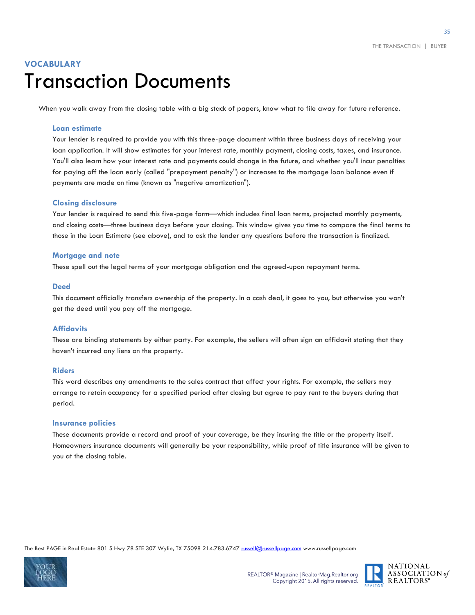### **VOCABULARY** Transaction Documents

When you walk away from the closing table with a big stack of papers, know what to file away for future reference.

#### **Loan estimate**

Your lender is required to provide you with this three-page document within three business days of receiving your loan application. It will show estimates for your interest rate, monthly payment, closing costs, taxes, and insurance. You'll also learn how your interest rate and payments could change in the future, and whether you'll incur penalties for paying off the loan early (called "prepayment penalty") or increases to the mortgage loan balance even if payments are made on time (known as "negative amortization").

#### **Closing disclosure**

Your lender is required to send this five-page form—which includes final loan terms, projected monthly payments, and closing costs—three business days before your closing. This window gives you time to compare the final terms to those in the Loan Estimate (see above), and to ask the lender any questions before the transaction is finalized.

#### **Mortgage and note**

These spell out the legal terms of your mortgage obligation and the agreed-upon repayment terms.

#### **Deed**

This document officially transfers ownership of the property. In a cash deal, it goes to you, but otherwise you won't get the deed until you pay off the mortgage.

#### **Affidavits**

These are binding statements by either party. For example, the sellers will often sign an affidavit stating that they haven't incurred any liens on the property.

#### **Riders**

This word describes any amendments to the sales contract that affect your rights. For example, the sellers may arrange to retain occupancy for a specified period after closing but agree to pay rent to the buyers during that period.

#### **Insurance policies**

These documents provide a record and proof of your coverage, be they insuring the title or the property itself. Homeowners insurance documents will generally be your responsibility, while proof of title insurance will be given to you at the closing table.



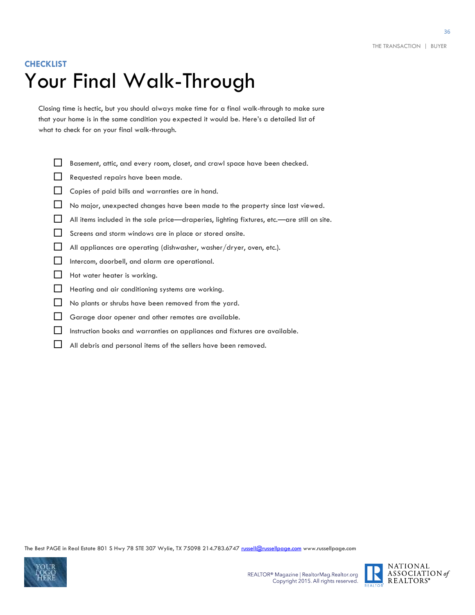### **CHECKLIST** Your Final Walk-Through

Closing time is hectic, but you should always make time for a final walk-through to make sure that your home is in the same condition you expected it would be. Here's a detailed list of what to check for on your final walk-through.

- Basement, attic, and every room, closet, and crawl space have been checked.
- Requested repairs have been made.
- Copies of paid bills and warranties are in hand.
- No major, unexpected changes have been made to the property since last viewed.
- All items included in the sale price—draperies, lighting fixtures, etc.—are still on site.
- Screens and storm windows are in place or stored onsite.
- All appliances are operating (dishwasher, washer/dryer, oven, etc.).
- Intercom, doorbell, and alarm are operational.
- $\Box$  Hot water heater is working.
- Heating and air conditioning systems are working.
- No plants or shrubs have been removed from the yard.
- Garage door opener and other remotes are available.
- Instruction books and warranties on appliances and fixtures are available.
- All debris and personal items of the sellers have been removed.



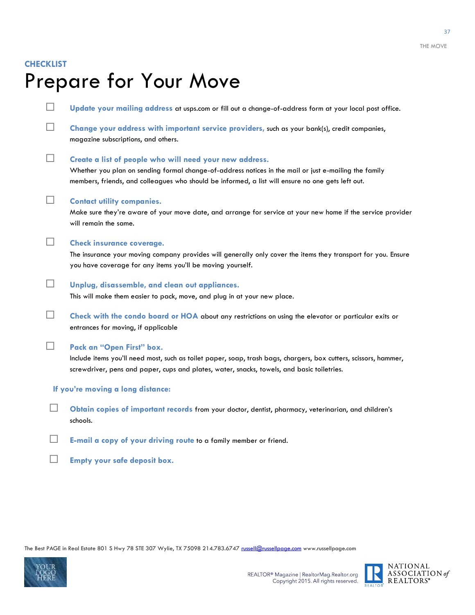#### **CHECKLIST**

## Prepare for Your Move

 **Update your mailing address** at usps.com or fill out a change-of-address form at your local post office. **Change your address with important service providers,** such as your bank(s), credit companies, magazine subscriptions, and others. **Create a list of people who will need your new address.** Whether you plan on sending formal change-of-address notices in the mail or just e-mailing the family members, friends, and colleagues who should be informed, a list will ensure no one gets left out. **Contact utility companies.**  Make sure they're aware of your move date, and arrange for service at your new home if the service provider will remain the same. **Check insurance coverage.** The insurance your moving company provides will generally only cover the items they transport for you. Ensure you have coverage for any items you'll be moving yourself. **Unplug, disassemble, and clean out appliances.** This will make them easier to pack, move, and plug in at your new place. **Check with the condo board or HOA** about any restrictions on using the elevator or particular exits or entrances for moving, if applicable **Pack an "Open First" box.** Include items you'll need most, such as toilet paper, soap, trash bags, chargers, box cutters, scissors, hammer, screwdriver, pens and paper, cups and plates, water, snacks, towels, and basic toiletries. **If you're moving a long distance: Obtain copies of important records** from your doctor, dentist, pharmacy, veterinarian, and children's schools. **E-mail a copy of your driving route** to a family member or friend. **Empty your safe deposit box.**



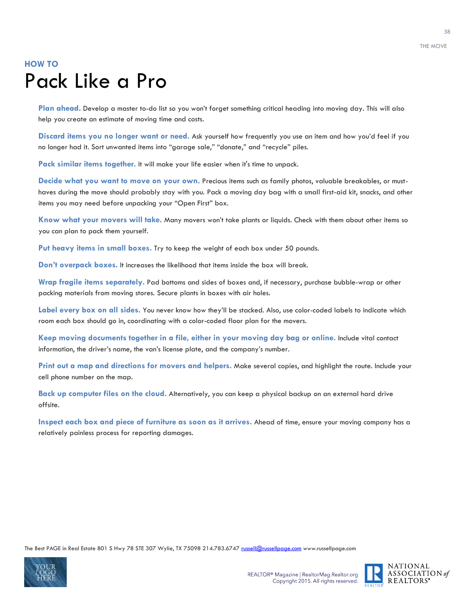### **HOW TO** Pack Like a Pro

**Plan ahead.** Develop a master to-do list so you won't forget something critical heading into moving day. This will also help you create an estimate of moving time and costs.

**Discard items you no longer want or need.** Ask yourself how frequently you use an item and how you'd feel if you no longer had it. Sort unwanted items into "garage sale," "donate," and "recycle" piles.

**Pack similar items together.** It will make your life easier when it's time to unpack.

**Decide what you want to move on your own.** Precious items such as family photos, valuable breakables, or musthaves during the move should probably stay with you. Pack a moving day bag with a small first-aid kit, snacks, and other items you may need before unpacking your "Open First" box.

**Know what your movers will take.** Many movers won't take plants or liquids. Check with them about other items so you can plan to pack them yourself.

**Put heavy items in small boxes.** Try to keep the weight of each box under 50 pounds.

**Don't overpack boxes.** It increases the likelihood that items inside the box will break.

**Wrap fragile items separately.** Pad bottoms and sides of boxes and, if necessary, purchase bubble-wrap or other packing materials from moving stores. Secure plants in boxes with air holes.

**Label every box on all sides.** You never know how they'll be stacked. Also, use color-coded labels to indicate which room each box should go in, coordinating with a color-coded floor plan for the movers.

**Keep moving documents together in a file, either in your moving day bag or online.** Include vital contact information, the driver's name, the van's license plate, and the company's number.

**Print out a map and directions for movers and helpers.** Make several copies, and highlight the route. Include your cell phone number on the map.

**Back up computer files on the cloud.** Alternatively, you can keep a physical backup on an external hard drive  $of **finite**$ 

**Inspect each box and piece of furniture as soon as it arrives.** Ahead of time, ensure your moving company has a relatively painless process for reporting damages.



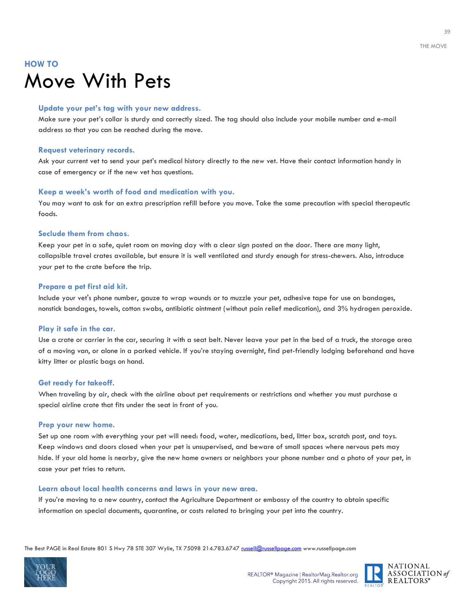### **HOW TO** Move With Pets

#### **Update your pet's tag with your new address.**

Make sure your pet's collar is sturdy and correctly sized. The tag should also include your mobile number and e-mail address so that you can be reached during the move.

#### **Request veterinary records.**

Ask your current vet to send your pet's medical history directly to the new vet. Have their contact information handy in case of emergency or if the new vet has questions.

#### **Keep a week's worth of food and medication with you.**

You may want to ask for an extra prescription refill before you move. Take the same precaution with special therapeutic foods.

#### **Seclude them from chaos.**

Keep your pet in a safe, quiet room on moving day with a clear sign posted on the door. There are many light, collapsible travel crates available, but ensure it is well ventilated and sturdy enough for stress-chewers. Also, introduce your pet to the crate before the trip.

#### **Prepare a pet first aid kit.**

Include your vet's phone number, gauze to wrap wounds or to muzzle your pet, adhesive tape for use on bandages, nonstick bandages, towels, cotton swabs, antibiotic ointment (without pain relief medication), and 3% hydrogen peroxide.

#### **Play it safe in the car.**

Use a crate or carrier in the car, securing it with a seat belt. Never leave your pet in the bed of a truck, the storage area of a moving van, or alone in a parked vehicle. If you're staying overnight, find pet-friendly lodging beforehand and have kitty litter or plastic bags on hand.

#### **Get ready for takeoff.**

When traveling by air, check with the airline about pet requirements or restrictions and whether you must purchase a special airline crate that fits under the seat in front of you.

#### **Prep your new home.**

Set up one room with everything your pet will need: food, water, medications, bed, litter box, scratch post, and toys. Keep windows and doors closed when your pet is unsupervised, and beware of small spaces where nervous pets may hide. If your old home is nearby, give the new home owners or neighbors your phone number and a photo of your pet, in case your pet tries to return.

#### **Learn about local health concerns and laws in your new area.**

If you're moving to a new country, contact the Agriculture Department or embassy of the country to obtain specific information on special documents, quarantine, or costs related to bringing your pet into the country.